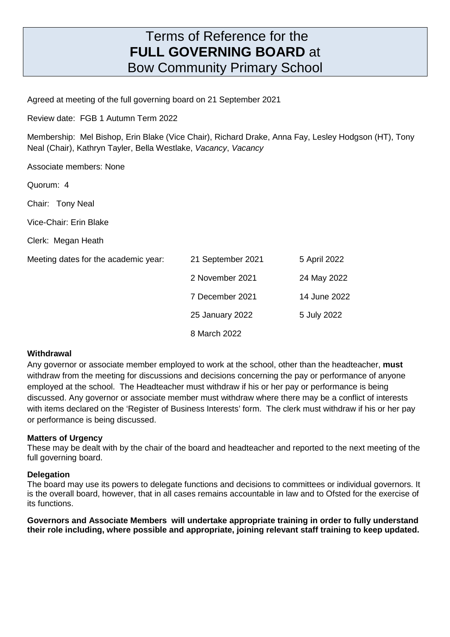# Terms of Reference for the **FULL GOVERNING BOARD** at Bow Community Primary School

Agreed at meeting of the full governing board on 21 September 2021

Review date: FGB 1 Autumn Term 2022

Membership: Mel Bishop, Erin Blake (Vice Chair), Richard Drake, Anna Fay, Lesley Hodgson (HT), Tony Neal (Chair), Kathryn Tayler, Bella Westlake, Vacancy, Vacancy

Associate members: None

Quorum: 4

Chair: Tony Neal

Vice-Chair: Erin Blake

Clerk: Megan Heath

Meeting dates for the academic year:

| Meeting dates for the academic year: | 21 September 2021 | 5 April 2022 |
|--------------------------------------|-------------------|--------------|
|                                      | 2 November 2021   | 24 May 2022  |
|                                      | 7 December 2021   | 14 June 2022 |
|                                      | 25 January 2022   | 5 July 2022  |
|                                      | 8 March 2022      |              |

#### **Withdrawal**

Any governor or associate member employed to work at the school, other than the headteacher, **must** withdraw from the meeting for discussions and decisions concerning the pay or performance of anyone employed at the school. The Headteacher must withdraw if his or her pay or performance is being discussed. Any governor or associate member must withdraw where there may be a conflict of interests with items declared on the 'Register of Business Interests' form. The clerk must withdraw if his or her pay or performance is being discussed.

#### **Matters of Urgency**

These may be dealt with by the chair of the board and headteacher and reported to the next meeting of the full governing board.

#### **Delegation**

The board may use its powers to delegate functions and decisions to committees or individual governors. It is the overall board, however, that in all cases remains accountable in law and to Ofsted for the exercise of its functions.

**Governors and Associate Members will undertake appropriate training in order to fully understand their role including, where possible and appropriate, joining relevant staff training to keep updated.**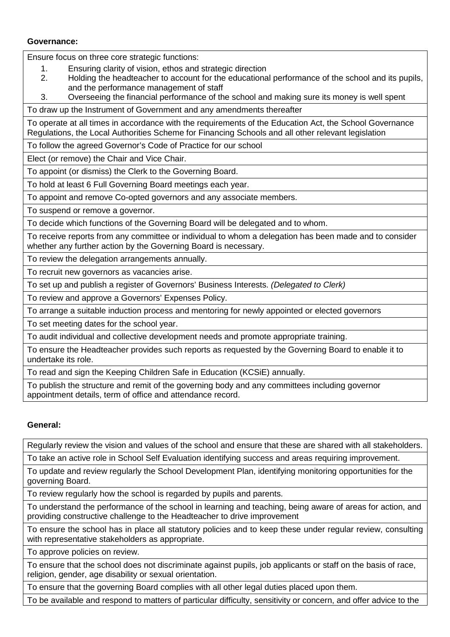### **Governance:**

Ensure focus on three core strategic functions:

- 1. Ensuring clarity of vision, ethos and strategic direction
- 2. Holding the headteacher to account for the educational performance of the school and its pupils, and the performance management of staff
- 3. Overseeing the financial performance of the school and making sure its money is well spent

To draw up the Instrument of Government and any amendments thereafter

To operate at all times in accordance with the requirements of the Education Act, the School Governance Regulations, the Local Authorities Scheme for Financing Schools and all other relevant legislation

To follow the agreed Governor's Code of Practice for our school

Elect (or remove) the Chair and Vice Chair.

To appoint (or dismiss) the Clerk to the Governing Board.

To hold at least 6 Full Governing Board meetings each year.

To appoint and remove Co-opted governors and any associate members.

To suspend or remove a governor.

To decide which functions of the Governing Board will be delegated and to whom.

To receive reports from any committee or individual to whom a delegation has been made and to consider whether any further action by the Governing Board is necessary.

To review the delegation arrangements annually.

To recruit new governors as vacancies arise.

To set up and publish a register of Governors' Business Interests. (Delegated to Clerk)

To review and approve a Governors' Expenses Policy.

To arrange a suitable induction process and mentoring for newly appointed or elected governors

To set meeting dates for the school year.

To audit individual and collective development needs and promote appropriate training.

To ensure the Headteacher provides such reports as requested by the Governing Board to enable it to undertake its role.

To read and sign the Keeping Children Safe in Education (KCSiE) annually.

To publish the structure and remit of the governing body and any committees including governor appointment details, term of office and attendance record.

# **General:**

Regularly review the vision and values of the school and ensure that these are shared with all stakeholders.

To take an active role in School Self Evaluation identifying success and areas requiring improvement.

To update and review regularly the School Development Plan, identifying monitoring opportunities for the governing Board.

To review regularly how the school is regarded by pupils and parents.

To understand the performance of the school in learning and teaching, being aware of areas for action, and providing constructive challenge to the Headteacher to drive improvement

To ensure the school has in place all statutory policies and to keep these under regular review, consulting with representative stakeholders as appropriate.

To approve policies on review.

To ensure that the school does not discriminate against pupils, job applicants or staff on the basis of race, religion, gender, age disability or sexual orientation.

To ensure that the governing Board complies with all other legal duties placed upon them.

To be available and respond to matters of particular difficulty, sensitivity or concern, and offer advice to the